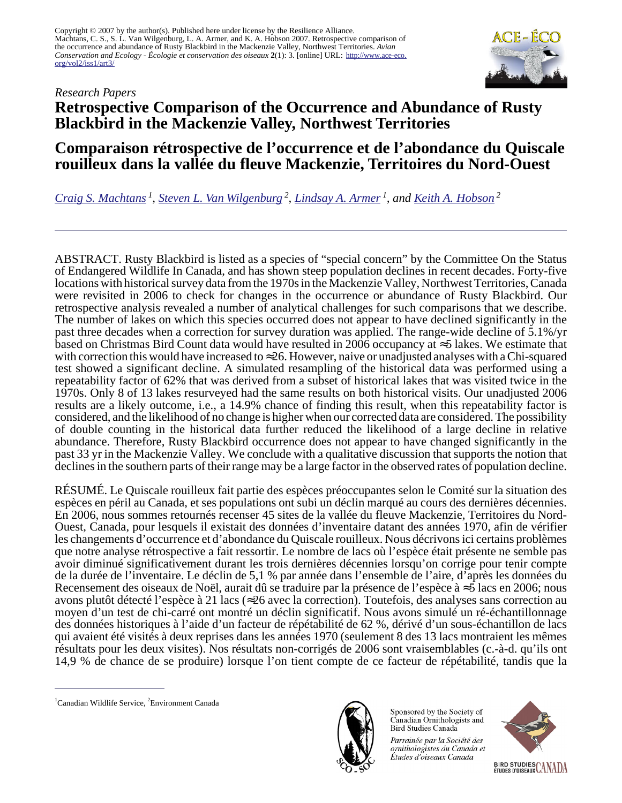

## *Research Papers* **Retrospective Comparison of the Occurrence and Abundance of Rusty Blackbird in the Mackenzie Valley, Northwest Territories**

# **Comparaison rétrospective de l'occurrence et de l'abondance du Quiscale rouilleux dans la vallée du fleuve Mackenzie, Territoires du Nord-Ouest**

*[Craig S. Machtans](mailto:craig.machtans@ec.gc.ca)<sup>1</sup> , [Steven L. Van Wilgenburg](mailto:Steve.Vanwilgenburg@ec.gc.ca)<sup>2</sup> , [Lindsay A. Armer](mailto:Lindsay.armer@ec.gc.ca)<sup>1</sup>, and [Keith A. Hobson](mailto:keith.hobson@ec.gc.ca)<sup>2</sup>*

ABSTRACT. Rusty Blackbird is listed as a species of "special concern" by the Committee On the Status of Endangered Wildlife In Canada, and has shown steep population declines in recent decades. Forty-five locations with historical survey data from the 1970s in the Mackenzie Valley, Northwest Territories, Canada were revisited in 2006 to check for changes in the occurrence or abundance of Rusty Blackbird. Our retrospective analysis revealed a number of analytical challenges for such comparisons that we describe. The number of lakes on which this species occurred does not appear to have declined significantly in the past three decades when a correction for survey duration was applied. The range-wide decline of 5.1%/yr based on Christmas Bird Count data would have resulted in 2006 occupancy at ≈5 lakes. We estimate that with correction this would have increased to ≈26. However, naive or unadjusted analyses with a Chi-squared test showed a significant decline. A simulated resampling of the historical data was performed using a repeatability factor of 62% that was derived from a subset of historical lakes that was visited twice in the 1970s. Only 8 of 13 lakes resurveyed had the same results on both historical visits. Our unadjusted 2006 results are a likely outcome, i.e., a 14.9% chance of finding this result, when this repeatability factor is considered, and the likelihood of no change is higher when our corrected data are considered. The possibility of double counting in the historical data further reduced the likelihood of a large decline in relative abundance. Therefore, Rusty Blackbird occurrence does not appear to have changed significantly in the past 33 yr in the Mackenzie Valley. We conclude with a qualitative discussion that supports the notion that declines in the southern parts of their range may be a large factor in the observed rates of population decline.

RÉSUMÉ. Le Quiscale rouilleux fait partie des espèces préoccupantes selon le Comité sur la situation des espèces en péril au Canada, et ses populations ont subi un déclin marqué au cours des dernières décennies. En 2006, nous sommes retournés recenser 45 sites de la vallée du fleuve Mackenzie, Territoires du Nord-Ouest, Canada, pour lesquels il existait des données d'inventaire datant des années 1970, afin de vérifier les changements d'occurrence et d'abondance du Quiscale rouilleux. Nous décrivons ici certains problèmes que notre analyse rétrospective a fait ressortir. Le nombre de lacs où l'espèce était présente ne semble pas avoir diminué significativement durant les trois dernières décennies lorsqu'on corrige pour tenir compte de la durée de l'inventaire. Le déclin de 5,1 % par année dans l'ensemble de l'aire, d'après les données du Recensement des oiseaux de Noël, aurait dû se traduire par la présence de l'espèce à ≈5 lacs en 2006; nous avons plutôt détecté l'espèce à 21 lacs (≈26 avec la correction). Toutefois, des analyses sans correction au moyen d'un test de chi-carré ont montré un déclin significatif. Nous avons simulé un ré-échantillonnage des données historiques à l'aide d'un facteur de répétabilité de 62 %, dérivé d'un sous-échantillon de lacs qui avaient été visités à deux reprises dans les années 1970 (seulement 8 des 13 lacs montraient les mêmes résultats pour les deux visites). Nos résultats non-corrigés de 2006 sont vraisemblables (c.-à-d. qu'ils ont 14,9 % de chance de se produire) lorsque l'on tient compte de ce facteur de répétabilité, tandis que la



Sponsored by the Society of Canadian Ornithologists and Bird Studies Canada

Parrainée par la Société des ornithologistes du Canada et Études d'oiseaux Canada



<sup>&</sup>lt;sup>1</sup>Canadian Wildlife Service, <sup>2</sup>Environment Canada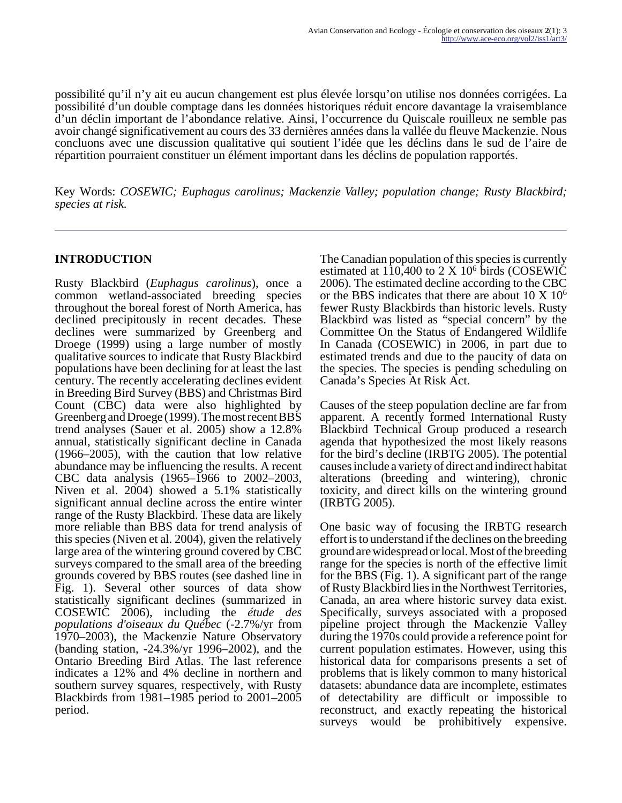possibilité qu'il n'y ait eu aucun changement est plus élevée lorsqu'on utilise nos données corrigées. La possibilité d'un double comptage dans les données historiques réduit encore davantage la vraisemblance d'un déclin important de l'abondance relative. Ainsi, l'occurrence du Quiscale rouilleux ne semble pas avoir changé significativement au cours des 33 dernières années dans la vallée du fleuve Mackenzie. Nous concluons avec une discussion qualitative qui soutient l'idée que les déclins dans le sud de l'aire de répartition pourraient constituer un élément important dans les déclins de population rapportés.

Key Words: *COSEWIC; Euphagus carolinus; Mackenzie Valley; population change; Rusty Blackbird; species at risk.*

## **INTRODUCTION**

Rusty Blackbird (*Euphagus carolinus*), once a common wetland-associated breeding species throughout the boreal forest of North America, has declined precipitously in recent decades. These declines were summarized by Greenberg and Droege (1999) using a large number of mostly qualitative sources to indicate that Rusty Blackbird populations have been declining for at least the last century. The recently accelerating declines evident in Breeding Bird Survey (BBS) and Christmas Bird Count (CBC) data were also highlighted by Greenberg and Droege (1999). The most recent BBS trend analyses (Sauer et al. 2005) show a 12.8% annual, statistically significant decline in Canada (1966–2005), with the caution that low relative abundance may be influencing the results. A recent CBC data analysis (1965–1966 to 2002–2003, Niven et al. 2004) showed a 5.1% statistically significant annual decline across the entire winter range of the Rusty Blackbird. These data are likely more reliable than BBS data for trend analysis of this species (Niven et al. 2004), given the relatively large area of the wintering ground covered by CBC surveys compared to the small area of the breeding grounds covered by BBS routes (see dashed line in Fig. 1). Several other sources of data show statistically significant declines (summarized in COSEWIC 2006), including the *étude des populations d'oiseaux du Québec* (-2.7%/yr from 1970–2003), the Mackenzie Nature Observatory (banding station, -24.3%/yr 1996–2002), and the Ontario Breeding Bird Atlas. The last reference indicates a 12% and 4% decline in northern and southern survey squares, respectively, with Rusty Blackbirds from 1981–1985 period to 2001–2005 period.

The Canadian population of this species is currently estimated at  $110,400$  to  $2 \text{ X } 10^6$  birds (COSEWIC 2006). The estimated decline according to the CBC or the BBS indicates that there are about  $10 \text{ X } 10^6$ fewer Rusty Blackbirds than historic levels. Rusty Blackbird was listed as "special concern" by the Committee On the Status of Endangered Wildlife In Canada (COSEWIC) in 2006, in part due to estimated trends and due to the paucity of data on the species. The species is pending scheduling on Canada's Species At Risk Act.

Causes of the steep population decline are far from apparent. A recently formed International Rusty Blackbird Technical Group produced a research agenda that hypothesized the most likely reasons for the bird's decline (IRBTG 2005). The potential causes include a variety of direct and indirect habitat alterations (breeding and wintering), chronic toxicity, and direct kills on the wintering ground (IRBTG 2005).

One basic way of focusing the IRBTG research effort is to understand if the declines on the breeding ground are widespread or local. Most of the breeding range for the species is north of the effective limit for the BBS (Fig. 1). A significant part of the range of Rusty Blackbird lies in the Northwest Territories, Canada, an area where historic survey data exist. Specifically, surveys associated with a proposed pipeline project through the Mackenzie Valley during the 1970s could provide a reference point for current population estimates. However, using this historical data for comparisons presents a set of problems that is likely common to many historical datasets: abundance data are incomplete, estimates of detectability are difficult or impossible to reconstruct, and exactly repeating the historical surveys would be prohibitively expensive.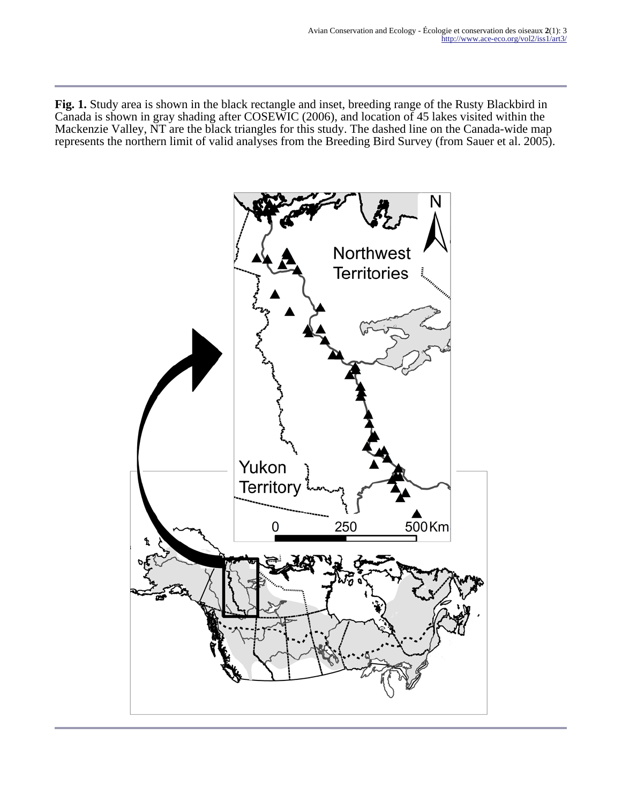**Fig. 1.** Study area is shown in the black rectangle and inset, breeding range of the Rusty Blackbird in Canada is shown in gray shading after COSEWIC (2006), and location of 45 lakes visited within the Mackenzie Valley, NT are the black triangles for this study. The dashed line on the Canada-wide map represents the northern limit of valid analyses from the Breeding Bird Survey (from Sauer et al. 2005).

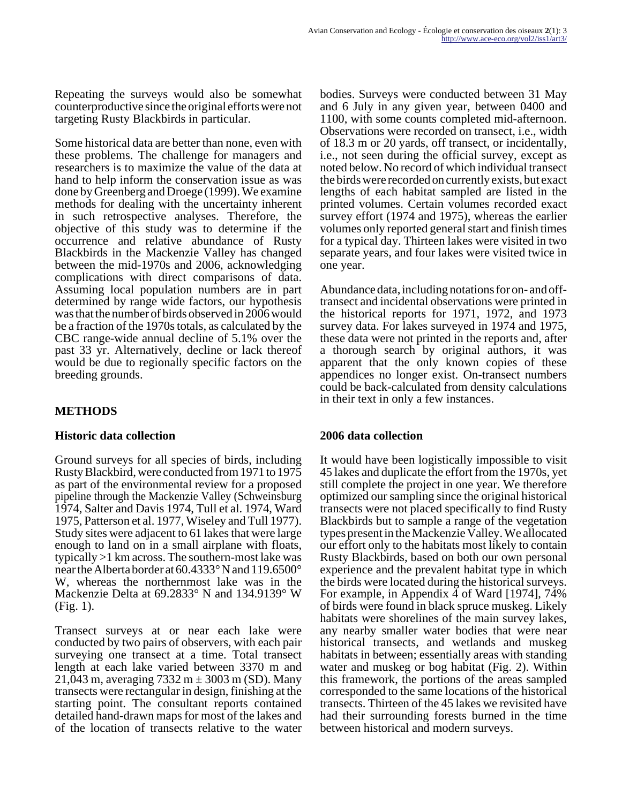Repeating the surveys would also be somewhat counterproductive since the original efforts were not targeting Rusty Blackbirds in particular.

Some historical data are better than none, even with these problems. The challenge for managers and researchers is to maximize the value of the data at hand to help inform the conservation issue as was done by Greenberg and Droege (1999). We examine methods for dealing with the uncertainty inherent in such retrospective analyses. Therefore, the objective of this study was to determine if the occurrence and relative abundance of Rusty Blackbirds in the Mackenzie Valley has changed between the mid-1970s and 2006, acknowledging complications with direct comparisons of data. Assuming local population numbers are in part determined by range wide factors, our hypothesis was that the number of birds observed in 2006 would be a fraction of the 1970s totals, as calculated by the CBC range-wide annual decline of 5.1% over the past 33 yr. Alternatively, decline or lack thereof would be due to regionally specific factors on the breeding grounds.

## **METHODS**

## **Historic data collection**

Ground surveys for all species of birds, including Rusty Blackbird, were conducted from 1971 to 1975 as part of the environmental review for a proposed pipeline through the Mackenzie Valley (Schweinsburg 1974, Salter and Davis 1974, Tull et al. 1974, Ward 1975, Patterson et al. 1977, Wiseley and Tull 1977). Study sites were adjacent to 61 lakes that were large enough to land on in a small airplane with floats, typically >1 km across. The southern-most lake was near the Alberta border at 60.4333° N and 119.6500° W, whereas the northernmost lake was in the Mackenzie Delta at 69.2833° N and 134.9139° W (Fig. 1).

Transect surveys at or near each lake were conducted by two pairs of observers, with each pair surveying one transect at a time. Total transect length at each lake varied between 3370 m and 21,043 m, averaging 7332 m  $\pm$  3003 m (SD). Many transects were rectangular in design, finishing at the starting point. The consultant reports contained detailed hand-drawn maps for most of the lakes and of the location of transects relative to the water

bodies. Surveys were conducted between 31 May and 6 July in any given year, between 0400 and 1100, with some counts completed mid-afternoon. Observations were recorded on transect, i.e., width of 18.3 m or 20 yards, off transect, or incidentally, i.e., not seen during the official survey, except as noted below. No record of which individual transect the birds were recorded on currently exists, but exact lengths of each habitat sampled are listed in the printed volumes. Certain volumes recorded exact survey effort (1974 and 1975), whereas the earlier volumes only reported general start and finish times for a typical day. Thirteen lakes were visited in two separate years, and four lakes were visited twice in one year.

Abundance data, including notations for on- and offtransect and incidental observations were printed in the historical reports for 1971, 1972, and 1973 survey data. For lakes surveyed in 1974 and 1975, these data were not printed in the reports and, after a thorough search by original authors, it was apparent that the only known copies of these appendices no longer exist. On-transect numbers could be back-calculated from density calculations in their text in only a few instances.

## **2006 data collection**

It would have been logistically impossible to visit 45 lakes and duplicate the effort from the 1970s, yet still complete the project in one year. We therefore optimized our sampling since the original historical transects were not placed specifically to find Rusty Blackbirds but to sample a range of the vegetation types present in the Mackenzie Valley. We allocated our effort only to the habitats most likely to contain Rusty Blackbirds, based on both our own personal experience and the prevalent habitat type in which the birds were located during the historical surveys. For example, in Appendix 4 of Ward [1974], 74% of birds were found in black spruce muskeg. Likely habitats were shorelines of the main survey lakes, any nearby smaller water bodies that were near historical transects, and wetlands and muskeg habitats in between; essentially areas with standing water and muskeg or bog habitat (Fig. 2). Within this framework, the portions of the areas sampled corresponded to the same locations of the historical transects. Thirteen of the 45 lakes we revisited have had their surrounding forests burned in the time between historical and modern surveys.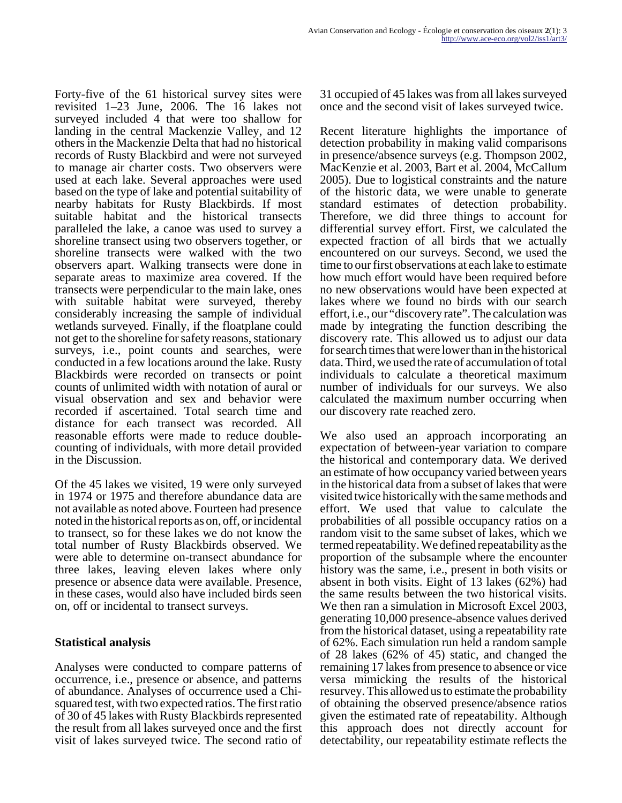Forty-five of the 61 historical survey sites were revisited 1–23 June, 2006. The 16 lakes not surveyed included 4 that were too shallow for landing in the central Mackenzie Valley, and 12 others in the Mackenzie Delta that had no historical records of Rusty Blackbird and were not surveyed to manage air charter costs. Two observers were used at each lake. Several approaches were used based on the type of lake and potential suitability of nearby habitats for Rusty Blackbirds. If most suitable habitat and the historical transects paralleled the lake, a canoe was used to survey a shoreline transect using two observers together, or shoreline transects were walked with the two observers apart. Walking transects were done in separate areas to maximize area covered. If the transects were perpendicular to the main lake, ones with suitable habitat were surveyed, thereby considerably increasing the sample of individual wetlands surveyed. Finally, if the floatplane could not get to the shoreline for safety reasons, stationary surveys, i.e., point counts and searches, were conducted in a few locations around the lake. Rusty Blackbirds were recorded on transects or point counts of unlimited width with notation of aural or visual observation and sex and behavior were recorded if ascertained. Total search time and distance for each transect was recorded. All reasonable efforts were made to reduce doublecounting of individuals, with more detail provided in the Discussion.

Of the 45 lakes we visited, 19 were only surveyed in 1974 or 1975 and therefore abundance data are not available as noted above. Fourteen had presence noted in the historical reports as on, off, or incidental to transect, so for these lakes we do not know the total number of Rusty Blackbirds observed. We were able to determine on-transect abundance for three lakes, leaving eleven lakes where only presence or absence data were available. Presence, in these cases, would also have included birds seen on, off or incidental to transect surveys.

## **Statistical analysis**

Analyses were conducted to compare patterns of occurrence, i.e., presence or absence, and patterns of abundance. Analyses of occurrence used a Chisquared test, with two expected ratios. The first ratio of 30 of 45 lakes with Rusty Blackbirds represented the result from all lakes surveyed once and the first visit of lakes surveyed twice. The second ratio of

31 occupied of 45 lakes was from all lakes surveyed once and the second visit of lakes surveyed twice.

Recent literature highlights the importance of detection probability in making valid comparisons in presence/absence surveys (e.g. Thompson 2002, MacKenzie et al. 2003, Bart et al. 2004, McCallum 2005). Due to logistical constraints and the nature of the historic data, we were unable to generate standard estimates of detection probability. Therefore, we did three things to account for differential survey effort. First, we calculated the expected fraction of all birds that we actually encountered on our surveys. Second, we used the time to our first observations at each lake to estimate how much effort would have been required before no new observations would have been expected at lakes where we found no birds with our search effort, i.e., our "discovery rate". The calculation was made by integrating the function describing the discovery rate. This allowed us to adjust our data for search times that were lower than in the historical data. Third, we used the rate of accumulation of total individuals to calculate a theoretical maximum number of individuals for our surveys. We also calculated the maximum number occurring when our discovery rate reached zero.

We also used an approach incorporating an expectation of between-year variation to compare the historical and contemporary data. We derived an estimate of how occupancy varied between years in the historical data from a subset of lakes that were visited twice historically with the same methods and effort. We used that value to calculate the probabilities of all possible occupancy ratios on a random visit to the same subset of lakes, which we termed repeatability. We defined repeatability as the proportion of the subsample where the encounter history was the same, i.e., present in both visits or absent in both visits. Eight of 13 lakes (62%) had the same results between the two historical visits. We then ran a simulation in Microsoft Excel 2003, generating 10,000 presence-absence values derived from the historical dataset, using a repeatability rate of 62%. Each simulation run held a random sample of 28 lakes (62% of 45) static, and changed the remaining 17 lakes from presence to absence or vice versa mimicking the results of the historical resurvey. This allowed us to estimate the probability of obtaining the observed presence/absence ratios given the estimated rate of repeatability. Although this approach does not directly account for detectability, our repeatability estimate reflects the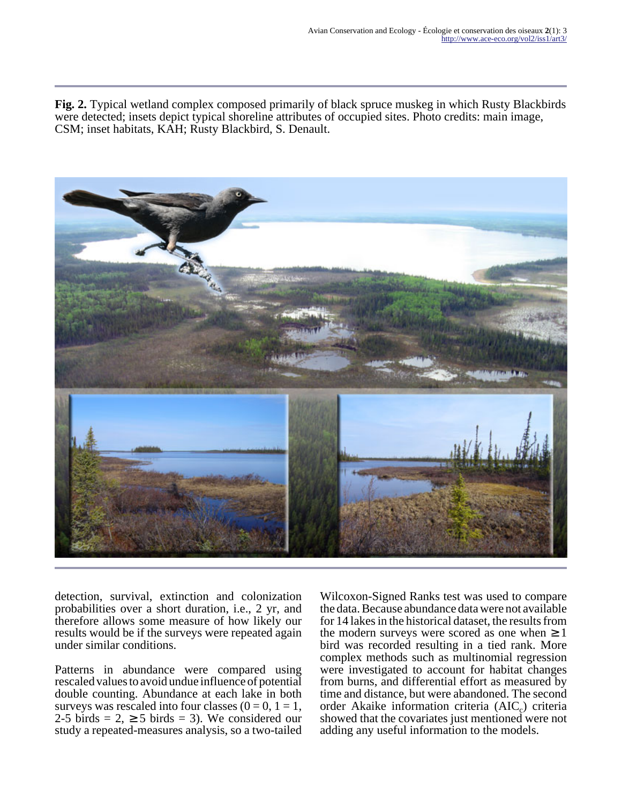**Fig. 2.** Typical wetland complex composed primarily of black spruce muskeg in which Rusty Blackbirds were detected; insets depict typical shoreline attributes of occupied sites. Photo credits: main image, CSM; inset habitats, KAH; Rusty Blackbird, S. Denault.



detection, survival, extinction and colonization probabilities over a short duration, i.e., 2 yr, and therefore allows some measure of how likely our results would be if the surveys were repeated again under similar conditions.

Patterns in abundance were compared using rescaled values to avoid undue influence of potential double counting. Abundance at each lake in both surveys was rescaled into four classes  $(0 = 0, 1 = 1,$ 2-5 birds = 2,  $\ge$  5 birds = 3). We considered our study a repeated-measures analysis, so a two-tailed

Wilcoxon-Signed Ranks test was used to compare the data. Because abundance data were not available for 14 lakes in the historical dataset, the results from the modern surveys were scored as one when  $\geq 1$ bird was recorded resulting in a tied rank. More complex methods such as multinomial regression were investigated to account for habitat changes from burns, and differential effort as measured by time and distance, but were abandoned. The second order Akaike information criteria (AIC<sub>c</sub>) criteria showed that the covariates just mentioned were not adding any useful information to the models.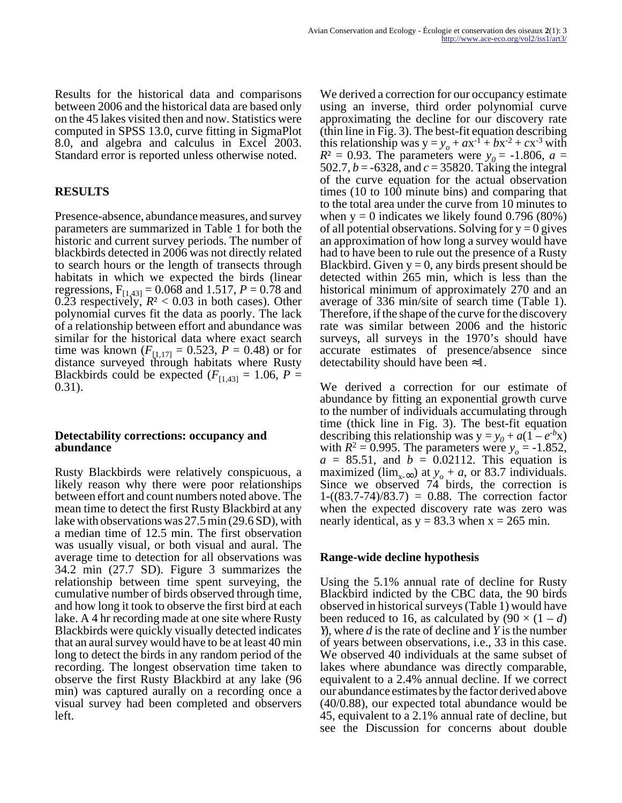Results for the historical data and comparisons between 2006 and the historical data are based only on the 45 lakes visited then and now. Statistics were computed in SPSS 13.0, curve fitting in SigmaPlot 8.0, and algebra and calculus in Excel 2003. Standard error is reported unless otherwise noted.

## **RESULTS**

Presence-absence, abundance measures, and survey parameters are summarized in Table 1 for both the historic and current survey periods. The number of blackbirds detected in 2006 was not directly related to search hours or the length of transects through habitats in which we expected the birds (linear regressions,  $F_{[1,43]} = 0.068$  and 1.517,  $P = 0.78$  and 0.23 respectively,  $R^2$  < 0.03 in both cases). Other polynomial curves fit the data as poorly. The lack of a relationship between effort and abundance was similar for the historical data where exact search time was known  $(F_{[1,17]} = 0.523, P = 0.48)$  or for distance surveyed through habitats where Rusty Blackbirds could be expected  $(F_{[1,43]} = 1.06, P =$ 0.31).

#### **Detectability corrections: occupancy and abundance**

Rusty Blackbirds were relatively conspicuous, a likely reason why there were poor relationships between effort and count numbers noted above. The mean time to detect the first Rusty Blackbird at any lake with observations was 27.5 min (29.6 SD), with a median time of 12.5 min. The first observation was usually visual, or both visual and aural. The average time to detection for all observations was 34.2 min (27.7 SD). Figure 3 summarizes the relationship between time spent surveying, the cumulative number of birds observed through time, and how long it took to observe the first bird at each lake. A 4 hr recording made at one site where Rusty Blackbirds were quickly visually detected indicates that an aural survey would have to be at least 40 min long to detect the birds in any random period of the recording. The longest observation time taken to observe the first Rusty Blackbird at any lake (96 min) was captured aurally on a recording once a visual survey had been completed and observers left.

We derived a correction for our occupancy estimate using an inverse, third order polynomial curve approximating the decline for our discovery rate (thin line in Fig. 3). The best-fit equation describing this relationship was  $y = y_o + ax^{-1} + bx^{-2} + cx^{-3}$  with  $R^2 = 0.93$ . The parameters were  $y_0 = -1.806$ ,  $a =$ 502.7, *b* = -6328, and *c* = 35820. Taking the integral of the curve equation for the actual observation times (10 to 100 minute bins) and comparing that to the total area under the curve from 10 minutes to when  $y = 0$  indicates we likely found 0.796 (80%) of all potential observations. Solving for  $y = 0$  gives an approximation of how long a survey would have had to have been to rule out the presence of a Rusty Blackbird. Given  $y = 0$ , any birds present should be detected within 265 min, which is less than the historical minimum of approximately 270 and an average of 336 min/site of search time (Table 1). Therefore, if the shape of the curve for the discovery rate was similar between 2006 and the historic surveys, all surveys in the 1970's should have accurate estimates of presence/absence since detectability should have been  $\approx$ 1.

We derived a correction for our estimate of abundance by fitting an exponential growth curve to the number of individuals accumulating through time (thick line in Fig. 3). The best-fit equation describing this relationship was  $y = y_0 + a(1 - e^{-b}x)$ with  $R^2 = 0.995$ . The parameters were  $y_o = -1.852$ ,  $a = 85.51$ , and  $b = 0.02112$ . This equation is maximized (lim<sub>x-∞</sub>) at  $y_0 + a$ , or 83.7 individuals. Since we observed 74 birds, the correction is  $1-(83.7-74)/83.7) = 0.88$ . The correction factor when the expected discovery rate was zero was nearly identical, as  $y = 83.3$  when  $x = 265$  min.

#### **Range-wide decline hypothesis**

Using the 5.1% annual rate of decline for Rusty Blackbird indicted by the CBC data, the 90 birds observed in historical surveys (Table 1) would have been reduced to 16, as calculated by  $(90 \times (1 - d))$ *Y*), where *d* is the rate of decline and *Y* is the number of years between observations, i.e., 33 in this case. We observed 40 individuals at the same subset of lakes where abundance was directly comparable, equivalent to a 2.4% annual decline. If we correct our abundance estimates by the factor derived above (40/0.88), our expected total abundance would be 45, equivalent to a 2.1% annual rate of decline, but see the Discussion for concerns about double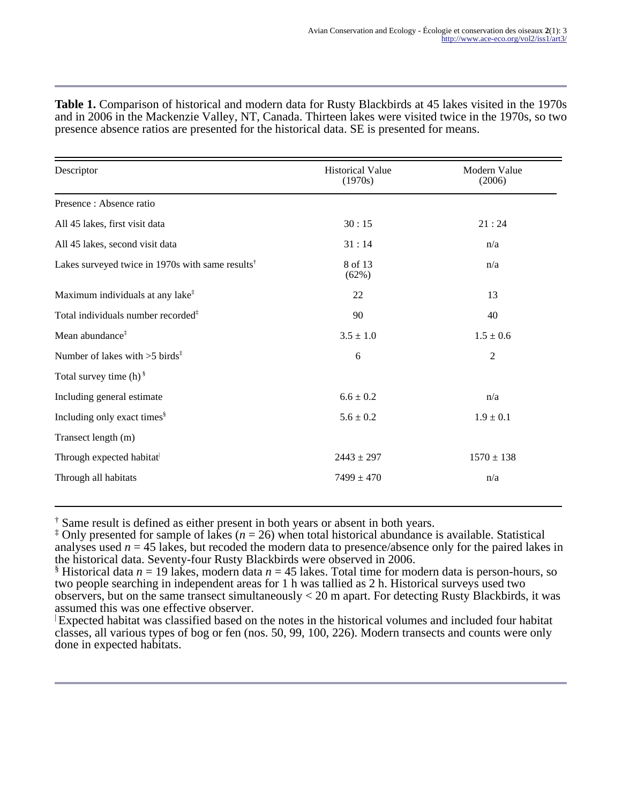**Table 1.** Comparison of historical and modern data for Rusty Blackbirds at 45 lakes visited in the 1970s and in 2006 in the Mackenzie Valley, NT, Canada. Thirteen lakes were visited twice in the 1970s, so two presence absence ratios are presented for the historical data. SE is presented for means.

| Descriptor                                                   | <b>Historical Value</b><br>(1970s) | Modern Value<br>(2006) |
|--------------------------------------------------------------|------------------------------------|------------------------|
| Presence: Absence ratio                                      |                                    |                        |
| All 45 lakes, first visit data                               | 30:15                              | 21:24                  |
| All 45 lakes, second visit data                              | 31:14                              | n/a                    |
| Lakes surveyed twice in 1970s with same results <sup>†</sup> | 8 of 13<br>(62%)                   | n/a                    |
| Maximum individuals at any lake <sup>‡</sup>                 | 22                                 | 13                     |
| Total individuals number recorded <sup>‡</sup>               | 90                                 | 40                     |
| Mean abundance <sup>‡</sup>                                  | $3.5 \pm 1.0$                      | $1.5 \pm 0.6$          |
| Number of lakes with $>5$ birds <sup>‡</sup>                 | 6                                  | $\overline{2}$         |
| Total survey time $(h)$ <sup>§</sup>                         |                                    |                        |
| Including general estimate                                   | $6.6 \pm 0.2$                      | n/a                    |
| Including only exact times <sup>§</sup>                      | $5.6 \pm 0.2$                      | $1.9 \pm 0.1$          |
| Transect length (m)                                          |                                    |                        |
| Through expected habitat                                     | $2443 \pm 297$                     | $1570 \pm 138$         |
| Through all habitats                                         | $7499 \pm 470$                     | n/a                    |

† Same result is defined as either present in both years or absent in both years.

<sup>‡</sup> Only presented for sample of lakes (*n* = 26) when total historical abundance is available. Statistical analyses used  $n = 45$  lakes, but recoded the modern data to presence/absence only for the paired lakes in the historical data. Seventy-four Rusty Blackbirds were observed in 2006.

<sup>&</sup>lt;sup>§</sup> Historical data  $n = 19$  lakes, modern data  $n = 45$  lakes. Total time for modern data is person-hours, so two people searching in independent areas for 1 h was tallied as 2 h. Historical surveys used two observers, but on the same transect simultaneously < 20 m apart. For detecting Rusty Blackbirds, it was assumed this was one effective observer.

<sup>|</sup>Expected habitat was classified based on the notes in the historical volumes and included four habitat classes, all various types of bog or fen (nos. 50, 99, 100, 226). Modern transects and counts were only done in expected habitats.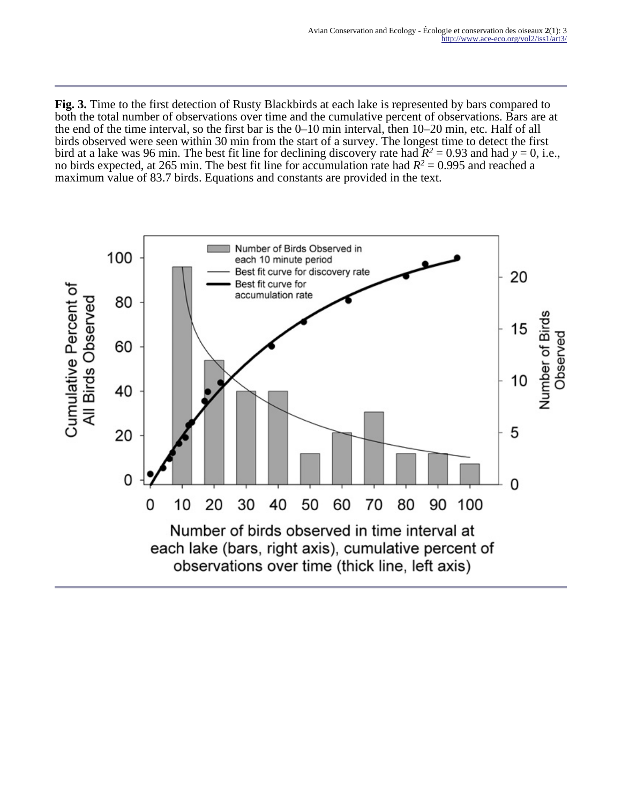**Fig. 3.** Time to the first detection of Rusty Blackbirds at each lake is represented by bars compared to both the total number of observations over time and the cumulative percent of observations. Bars are at the end of the time interval, so the first bar is the 0–10 min interval, then 10–20 min, etc. Half of all birds observed were seen within 30 min from the start of a survey. The longest time to detect the first bird at a lake was 96 min. The best fit line for declining discovery rate had  $R^2 = 0.93$  and had  $y = 0$ , i.e., no birds expected, at 265 min. The best fit line for accumulation rate had  $R^2 = 0.995$  and reached a maximum value of 83.7 birds. Equations and constants are provided in the text.

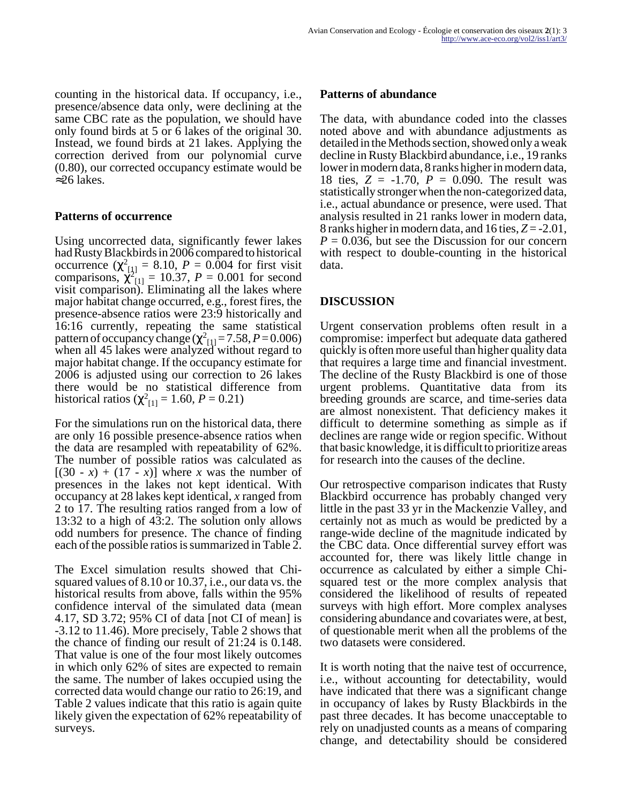counting in the historical data. If occupancy, i.e., presence/absence data only, were declining at the same CBC rate as the population, we should have only found birds at 5 or 6 lakes of the original 30. Instead, we found birds at 21 lakes. Applying the correction derived from our polynomial curve (0.80), our corrected occupancy estimate would be ≈26 lakes.

#### **Patterns of occurrence**

Using uncorrected data, significantly fewer lakes had Rusty Blackbirds in 2006 compared to historical occurrence ( $\chi^2$ <sub>[1]</sub> = 8.10, *P* = 0.004 for first visit comparisons,  $\chi^{2}$ <sub>[1]</sub> = 10.37, *P* = 0.001 for second visit comparison). Eliminating all the lakes where major habitat change occurred, e.g., forest fires, the presence-absence ratios were 23:9 historically and 16:16 currently, repeating the same statistical pattern of occupancy change  $(\chi^2_{[1]} = 7.58, P = 0.006)$ when all 45 lakes were analyzed without regard to major habitat change. If the occupancy estimate for 2006 is adjusted using our correction to 26 lakes there would be no statistical difference from historical ratios ( $\chi^2_{[1]} = 1.60, P = 0.21$ )

For the simulations run on the historical data, there are only 16 possible presence-absence ratios when the data are resampled with repeatability of 62%. The number of possible ratios was calculated as  $[(30 - x) + (17 - x)]$  where *x* was the number of presences in the lakes not kept identical. With occupancy at 28 lakes kept identical, *x* ranged from 2 to 17. The resulting ratios ranged from a low of 13:32 to a high of 43:2. The solution only allows odd numbers for presence. The chance of finding each of the possible ratios is summarized in Table 2.

The Excel simulation results showed that Chisquared values of 8.10 or 10.37, i.e., our data vs. the historical results from above, falls within the 95% confidence interval of the simulated data (mean 4.17, SD 3.72; 95% CI of data [not CI of mean] is -3.12 to 11.46). More precisely, Table 2 shows that the chance of finding our result of 21:24 is 0.148. That value is one of the four most likely outcomes in which only 62% of sites are expected to remain the same. The number of lakes occupied using the corrected data would change our ratio to 26:19, and Table 2 values indicate that this ratio is again quite likely given the expectation of 62% repeatability of surveys.

#### **Patterns of abundance**

The data, with abundance coded into the classes noted above and with abundance adjustments as detailed in the Methods section, showed only a weak decline in Rusty Blackbird abundance, i.e., 19 ranks lower in modern data, 8 ranks higher in modern data, 18 ties,  $Z = -1.70$ ,  $P = 0.090$ . The result was statistically stronger when the non-categorized data, i.e., actual abundance or presence, were used. That analysis resulted in 21 ranks lower in modern data, 8 ranks higher in modern data, and 16 ties, *Z* = -2.01,  $P = 0.036$ , but see the Discussion for our concern with respect to double-counting in the historical data.

## **DISCUSSION**

Urgent conservation problems often result in a compromise: imperfect but adequate data gathered quickly is often more useful than higher quality data that requires a large time and financial investment. The decline of the Rusty Blackbird is one of those urgent problems. Quantitative data from its breeding grounds are scarce, and time-series data are almost nonexistent. That deficiency makes it difficult to determine something as simple as if declines are range wide or region specific. Without that basic knowledge, it is difficult to prioritize areas for research into the causes of the decline.

Our retrospective comparison indicates that Rusty Blackbird occurrence has probably changed very little in the past 33 yr in the Mackenzie Valley, and certainly not as much as would be predicted by a range-wide decline of the magnitude indicated by the CBC data. Once differential survey effort was accounted for, there was likely little change in occurrence as calculated by either a simple Chisquared test or the more complex analysis that considered the likelihood of results of repeated surveys with high effort. More complex analyses considering abundance and covariates were, at best, of questionable merit when all the problems of the two datasets were considered.

It is worth noting that the naive test of occurrence, i.e., without accounting for detectability, would have indicated that there was a significant change in occupancy of lakes by Rusty Blackbirds in the past three decades. It has become unacceptable to rely on unadjusted counts as a means of comparing change, and detectability should be considered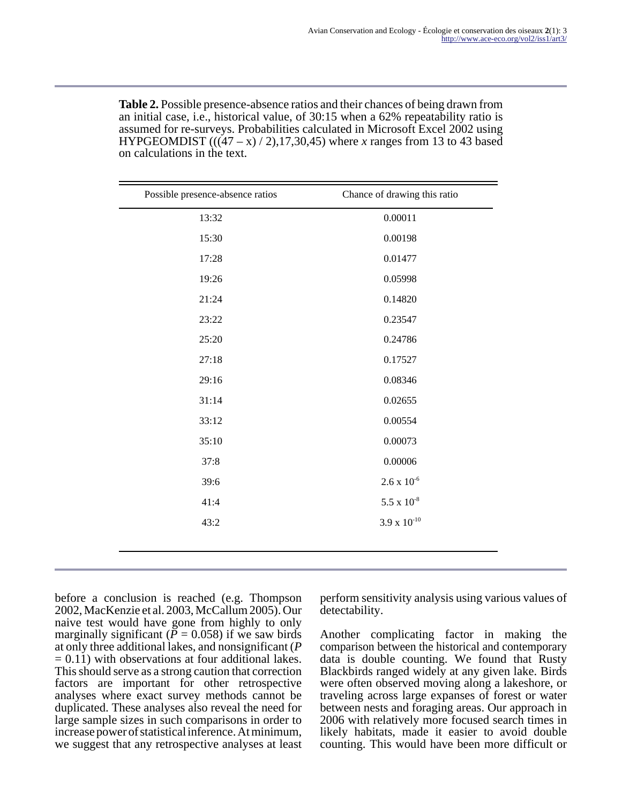**Table 2.** Possible presence-absence ratios and their chances of being drawn from an initial case, i.e., historical value, of 30:15 when a 62% repeatability ratio is assumed for re-surveys. Probabilities calculated in Microsoft Excel 2002 using HYPGEOMDIST  $(((47 - x)/2),17,30,45)$  where *x* ranges from 13 to 43 based on calculations in the text.

| Possible presence-absence ratios | Chance of drawing this ratio |  |
|----------------------------------|------------------------------|--|
| 13:32                            | 0.00011                      |  |
| 15:30                            | 0.00198                      |  |
| 17:28                            | 0.01477                      |  |
| 19:26                            | 0.05998                      |  |
| 21:24                            | 0.14820                      |  |
| 23:22                            | 0.23547                      |  |
| 25:20                            | 0.24786                      |  |
| 27:18                            | 0.17527                      |  |
| 29:16                            | 0.08346                      |  |
| 31:14                            | 0.02655                      |  |
| 33:12                            | 0.00554                      |  |
| 35:10                            | 0.00073                      |  |
| 37:8                             | 0.00006                      |  |
| 39:6                             | $2.6 \times 10^{-6}$         |  |
| 41:4                             | $5.5 \times 10^{-8}$         |  |
| 43:2                             | $3.9 \times 10^{-10}$        |  |
|                                  |                              |  |

before a conclusion is reached (e.g. Thompson 2002, MacKenzie et al. 2003, McCallum 2005). Our naive test would have gone from highly to only marginally significant ( $P = 0.058$ ) if we saw birds at only three additional lakes, and nonsignificant (*P*  $= 0.11$ ) with observations at four additional lakes. This should serve as a strong caution that correction factors are important for other retrospective analyses where exact survey methods cannot be duplicated. These analyses also reveal the need for large sample sizes in such comparisons in order to increase power of statistical inference. At minimum, we suggest that any retrospective analyses at least

perform sensitivity analysis using various values of detectability.

Another complicating factor in making the comparison between the historical and contemporary data is double counting. We found that Rusty Blackbirds ranged widely at any given lake. Birds were often observed moving along a lakeshore, or traveling across large expanses of forest or water between nests and foraging areas. Our approach in 2006 with relatively more focused search times in likely habitats, made it easier to avoid double counting. This would have been more difficult or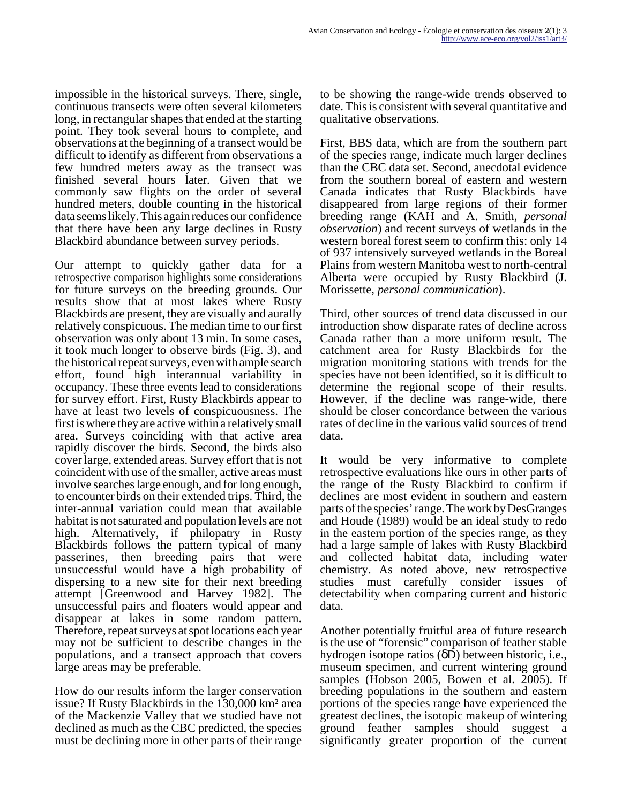impossible in the historical surveys. There, single, continuous transects were often several kilometers long, in rectangular shapes that ended at the starting point. They took several hours to complete, and observations at the beginning of a transect would be difficult to identify as different from observations a few hundred meters away as the transect was finished several hours later. Given that we commonly saw flights on the order of several hundred meters, double counting in the historical data seems likely. This again reduces our confidence that there have been any large declines in Rusty Blackbird abundance between survey periods.

Our attempt to quickly gather data for a retrospective comparison highlights some considerations for future surveys on the breeding grounds. Our results show that at most lakes where Rusty Blackbirds are present, they are visually and aurally relatively conspicuous. The median time to our first observation was only about 13 min. In some cases, it took much longer to observe birds (Fig. 3), and the historical repeat surveys, even with ample search effort, found high interannual variability in occupancy. These three events lead to considerations for survey effort. First, Rusty Blackbirds appear to have at least two levels of conspicuousness. The first is where they are active within a relatively small area. Surveys coinciding with that active area rapidly discover the birds. Second, the birds also cover large, extended areas. Survey effort that is not coincident with use of the smaller, active areas must involve searches large enough, and for long enough, to encounter birds on their extended trips. Third, the inter-annual variation could mean that available habitat is not saturated and population levels are not high. Alternatively, if philopatry in Rusty Blackbirds follows the pattern typical of many passerines, then breeding pairs that were unsuccessful would have a high probability of dispersing to a new site for their next breeding attempt [Greenwood and Harvey 1982]. The unsuccessful pairs and floaters would appear and disappear at lakes in some random pattern. Therefore, repeat surveys at spot locations each year may not be sufficient to describe changes in the populations, and a transect approach that covers large areas may be preferable.

How do our results inform the larger conservation issue? If Rusty Blackbirds in the 130,000 km² area of the Mackenzie Valley that we studied have not declined as much as the CBC predicted, the species must be declining more in other parts of their range

to be showing the range-wide trends observed to date. This is consistent with several quantitative and qualitative observations.

First, BBS data, which are from the southern part of the species range, indicate much larger declines than the CBC data set. Second, anecdotal evidence from the southern boreal of eastern and western Canada indicates that Rusty Blackbirds have disappeared from large regions of their former breeding range (KAH and A. Smith, *personal observation*) and recent surveys of wetlands in the western boreal forest seem to confirm this: only 14 of 937 intensively surveyed wetlands in the Boreal Plains from western Manitoba west to north-central Alberta were occupied by Rusty Blackbird (J. Morissette, *personal communication*).

Third, other sources of trend data discussed in our introduction show disparate rates of decline across Canada rather than a more uniform result. The catchment area for Rusty Blackbirds for the migration monitoring stations with trends for the species have not been identified, so it is difficult to determine the regional scope of their results. However, if the decline was range-wide, there should be closer concordance between the various rates of decline in the various valid sources of trend data.

It would be very informative to complete retrospective evaluations like ours in other parts of the range of the Rusty Blackbird to confirm if declines are most evident in southern and eastern parts of the species' range. The work by DesGranges and Houde (1989) would be an ideal study to redo in the eastern portion of the species range, as they had a large sample of lakes with Rusty Blackbird and collected habitat data, including water chemistry. As noted above, new retrospective studies must carefully consider issues of detectability when comparing current and historic data.

Another potentially fruitful area of future research is the use of "forensic" comparison of feather stable hydrogen isotope ratios (δD) between historic, i.e., museum specimen, and current wintering ground samples (Hobson 2005, Bowen et al. 2005). If breeding populations in the southern and eastern portions of the species range have experienced the greatest declines, the isotopic makeup of wintering ground feather samples should suggest a significantly greater proportion of the current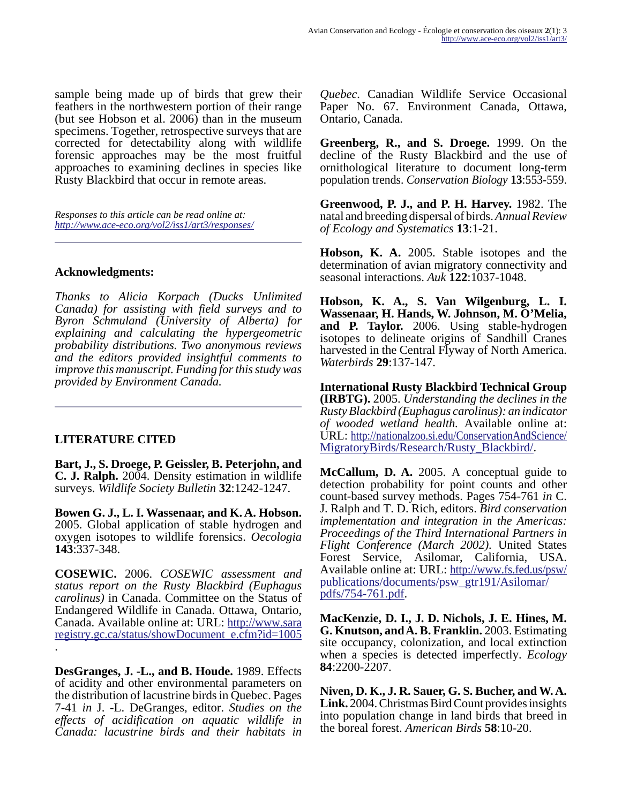sample being made up of birds that grew their feathers in the northwestern portion of their range (but see Hobson et al. 2006) than in the museum specimens. Together, retrospective surveys that are corrected for detectability along with wildlife forensic approaches may be the most fruitful approaches to examining declines in species like Rusty Blackbird that occur in remote areas.

*Responses to this article can be read online at: <http://www.ace-eco.org/vol2/iss1/art3/responses/>*

#### **Acknowledgments:**

*Thanks to Alicia Korpach (Ducks Unlimited Canada) for assisting with field surveys and to Byron Schmuland (University of Alberta) for explaining and calculating the hypergeometric probability distributions. Two anonymous reviews and the editors provided insightful comments to improve this manuscript. Funding for this study was provided by Environment Canada.* 

## **LITERATURE CITED**

**Bart, J., S. Droege, P. Geissler, B. Peterjohn, and C. J. Ralph.** 2004. Density estimation in wildlife surveys. *Wildlife Society Bulletin* **32**:1242-1247.

**Bowen G. J., L. I. Wassenaar, and K. A. Hobson.** 2005. Global application of stable hydrogen and oxygen isotopes to wildlife forensics. *Oecologia* **143**:337-348.

**COSEWIC.** 2006. *COSEWIC assessment and status report on the Rusty Blackbird (Euphagus carolinus)* in Canada. Committee on the Status of Endangered Wildlife in Canada. Ottawa, Ontario, Canada. Available online at: URL: [http://www.sara](http://www.sararegistry.gc.ca/status/showDocument_e.cfm?id=1005) [registry.gc.ca/status/showDocument\\_e.cfm?id=1005](http://www.sararegistry.gc.ca/status/showDocument_e.cfm?id=1005) .

**DesGranges, J. -L., and B. Houde.** 1989. Effects of acidity and other environmental parameters on the distribution of lacustrine birds in Quebec. Pages 7-41 *in* J. -L. DeGranges, editor. *Studies on the effects of acidification on aquatic wildlife in Canada: lacustrine birds and their habitats in*

*Quebec.* Canadian Wildlife Service Occasional Paper No. 67. Environment Canada, Ottawa, Ontario, Canada.

**Greenberg, R., and S. Droege.** 1999. On the decline of the Rusty Blackbird and the use of ornithological literature to document long-term population trends. *Conservation Biology* **13**:553-559.

**Greenwood, P. J., and P. H. Harvey.** 1982. The natal and breeding dispersal of birds. *Annual Review of Ecology and Systematics* **13**:1-21.

**Hobson, K. A.** 2005. Stable isotopes and the determination of avian migratory connectivity and seasonal interactions. *Auk* **122**:1037-1048.

**Hobson, K. A., S. Van Wilgenburg, L. I. Wassenaar, H. Hands, W. Johnson, M. O'Melia, and P. Taylor.** 2006. Using stable-hydrogen isotopes to delineate origins of Sandhill Cranes harvested in the Central Flyway of North America. *Waterbirds* **29**:137-147.

**International Rusty Blackbird Technical Group (IRBTG).** 2005. *Understanding the declines in the Rusty Blackbird (Euphagus carolinus): an indicator of wooded wetland health.* Available online at: URL: [http://nationalzoo.si.edu/ConservationAndScience/](http://nationalzoo.si.edu/ConservationAndScience/MigratoryBirds/Research/Rusty_Blackbird/) [MigratoryBirds/Research/Rusty\\_Blackbird/.](http://nationalzoo.si.edu/ConservationAndScience/MigratoryBirds/Research/Rusty_Blackbird/)

**McCallum, D. A.** 2005. A conceptual guide to detection probability for point counts and other count-based survey methods. Pages 754-761 *in* C. J. Ralph and T. D. Rich, editors. *Bird conservation implementation and integration in the Americas: Proceedings of the Third International Partners in Flight Conference (March 2002).* United States Forest Service, Asilomar, California, USA. Available online at: URL: [http://www.fs.fed.us/psw/](http://www.fs.fed.us/psw/publications/documents/psw_gtr191/Asilomar/pdfs/754-761.pdf) publications/documents/psw\_gtr191/Asilomar/ [pdfs/754-761.pdf.](http://www.fs.fed.us/psw/publications/documents/psw_gtr191/Asilomar/pdfs/754-761.pdf)

**MacKenzie, D. I., J. D. Nichols, J. E. Hines, M. G. Knutson, and A. B. Franklin.** 2003. Estimating site occupancy, colonization, and local extinction when a species is detected imperfectly. *Ecology* **84**:2200-2207.

**Niven, D. K., J. R. Sauer, G. S. Bucher, and W. A. Link.** 2004. Christmas Bird Count provides insights into population change in land birds that breed in the boreal forest. *American Birds* **58**:10-20.